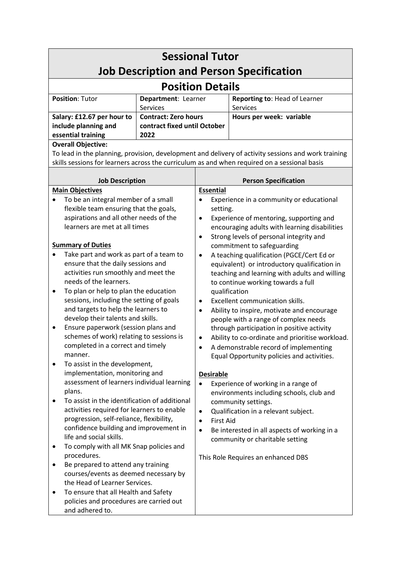| <b>Sessional Tutor</b>                                                                                                           |                              |                                                                                                 |                                 |  |
|----------------------------------------------------------------------------------------------------------------------------------|------------------------------|-------------------------------------------------------------------------------------------------|---------------------------------|--|
| <b>Job Description and Person Specification</b><br><b>Position Details</b>                                                       |                              |                                                                                                 |                                 |  |
| <b>Position: Tutor</b><br>Department: Learner                                                                                    |                              |                                                                                                 | Reporting to: Head of Learner   |  |
|                                                                                                                                  | Services                     |                                                                                                 | <b>Services</b>                 |  |
| Salary: £12.67 per hour to                                                                                                       | <b>Contract: Zero hours</b>  |                                                                                                 | Hours per week: variable        |  |
| include planning and                                                                                                             | contract fixed until October |                                                                                                 |                                 |  |
| essential training<br>2022                                                                                                       |                              |                                                                                                 |                                 |  |
| <b>Overall Objective:</b><br>To lead in the planning, provision, development and delivery of activity sessions and work training |                              |                                                                                                 |                                 |  |
| skills sessions for learners across the curriculum as and when required on a sessional basis                                     |                              |                                                                                                 |                                 |  |
|                                                                                                                                  |                              |                                                                                                 |                                 |  |
| <b>Job Description</b>                                                                                                           |                              |                                                                                                 | <b>Person Specification</b>     |  |
| <b>Main Objectives</b>                                                                                                           |                              | <b>Essential</b>                                                                                |                                 |  |
| To be an integral member of a small                                                                                              |                              | Experience in a community or educational                                                        |                                 |  |
| flexible team ensuring that the goals,                                                                                           |                              | setting.                                                                                        |                                 |  |
| aspirations and all other needs of the                                                                                           |                              | Experience of mentoring, supporting and<br>$\bullet$                                            |                                 |  |
| learners are met at all times                                                                                                    |                              | encouraging adults with learning disabilities                                                   |                                 |  |
| <b>Summary of Duties</b>                                                                                                         |                              | Strong levels of personal integrity and<br>commitment to safeguarding                           |                                 |  |
| Take part and work as part of a team to                                                                                          |                              | A teaching qualification (PGCE/Cert Ed or                                                       |                                 |  |
| ensure that the daily sessions and                                                                                               |                              | equivalent) or introductory qualification in                                                    |                                 |  |
| activities run smoothly and meet the                                                                                             |                              | teaching and learning with adults and willing<br>to continue working towards a full             |                                 |  |
| needs of the learners.                                                                                                           |                              |                                                                                                 |                                 |  |
| To plan or help to plan the education<br>٠                                                                                       |                              | qualification                                                                                   |                                 |  |
| sessions, including the setting of goals                                                                                         |                              | Excellent communication skills.<br>٠                                                            |                                 |  |
| and targets to help the learners to<br>develop their talents and skills.                                                         |                              | Ability to inspire, motivate and encourage<br>$\bullet$<br>people with a range of complex needs |                                 |  |
| Ensure paperwork (session plans and                                                                                              |                              | through participation in positive activity                                                      |                                 |  |
| schemes of work) relating to sessions is                                                                                         |                              | Ability to co-ordinate and prioritise workload.                                                 |                                 |  |
| completed in a correct and timely                                                                                                |                              | A demonstrable record of implementing                                                           |                                 |  |
| manner.                                                                                                                          |                              | Equal Opportunity policies and activities.                                                      |                                 |  |
| To assist in the development,<br>٠                                                                                               |                              |                                                                                                 |                                 |  |
| implementation, monitoring and                                                                                                   |                              | <b>Desirable</b>                                                                                |                                 |  |
| assessment of learners individual learning<br>plans.                                                                             |                              | Experience of working in a range of<br>$\bullet$<br>environments including schools, club and    |                                 |  |
| To assist in the identification of additional<br>٠                                                                               |                              | community settings.                                                                             |                                 |  |
| activities required for learners to enable                                                                                       |                              | Qualification in a relevant subject.<br>$\bullet$                                               |                                 |  |
| progression, self-reliance, flexibility,                                                                                         |                              | <b>First Aid</b><br>$\bullet$                                                                   |                                 |  |
| confidence building and improvement in                                                                                           |                              | Be interested in all aspects of working in a                                                    |                                 |  |
| life and social skills.                                                                                                          |                              |                                                                                                 | community or charitable setting |  |
| To comply with all MK Snap policies and                                                                                          |                              | This Role Requires an enhanced DBS                                                              |                                 |  |
| procedures.<br>Be prepared to attend any training                                                                                |                              |                                                                                                 |                                 |  |
| courses/events as deemed necessary by                                                                                            |                              |                                                                                                 |                                 |  |
| the Head of Learner Services.                                                                                                    |                              |                                                                                                 |                                 |  |
| To ensure that all Health and Safety<br>٠                                                                                        |                              |                                                                                                 |                                 |  |
| policies and procedures are carried out                                                                                          |                              |                                                                                                 |                                 |  |
| and adhered to.                                                                                                                  |                              |                                                                                                 |                                 |  |